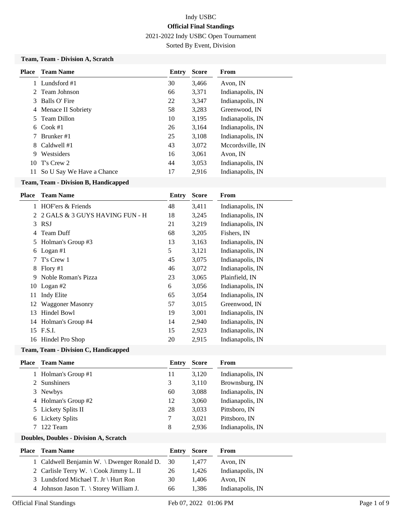2021-2022 Indy USBC Open Tournament

Sorted By Event, Division

#### **Team, Team - Division A, Scratch**

| <b>Place</b> | <b>Team Name</b>                                                                           | Entry | <b>Score</b> | From             |
|--------------|--------------------------------------------------------------------------------------------|-------|--------------|------------------|
|              | Lundsford #1                                                                               | 30    | 3,466        | Avon, IN         |
|              | 2 Team Johnson                                                                             | 66    | 3,371        | Indianapolis, IN |
| 3            | Balls O' Fire                                                                              | 22    | 3,347        | Indianapolis, IN |
| 4            | Menace II Sobriety                                                                         | 58    | 3,283        | Greenwood, IN    |
| 5.           | Team Dillon                                                                                | 10    | 3,195        | Indianapolis, IN |
| 6.           | Cook $#1$                                                                                  | 26    | 3,164        | Indianapolis, IN |
|              | Brunker #1                                                                                 | 25    | 3,108        | Indianapolis, IN |
| 8            | Caldwell #1                                                                                | 43    | 3,072        | Mccordsville, IN |
| 9            | Westsiders                                                                                 | 16    | 3,061        | Avon, IN         |
| 10           | T's Crew 2                                                                                 | 44    | 3,053        | Indianapolis, IN |
| 11           | So U Say We Have a Chance                                                                  | 17    | 2,916        | Indianapolis, IN |
|              | $\mathbf{m}$ . $\mathbf{m}$ is the $\mathbf{m}$ in $\mathbf{m}$ is the set of $\mathbf{m}$ |       |              |                  |

## **Team, Team - Division B, Handicapped**

| Place | <b>Team Name</b>               | <b>Entry</b> | <b>Score</b> | From             |
|-------|--------------------------------|--------------|--------------|------------------|
| 1     | HOF'ers & Friends              | 48           | 3,411        | Indianapolis, IN |
| 2     | 2 GALS & 3 GUYS HAVING FUN - H | 18           | 3,245        | Indianapolis, IN |
| 3     | <b>RSJ</b>                     | 21           | 3,219        | Indianapolis, IN |
| 4     | <b>Team Duff</b>               | 68           | 3,205        | Fishers, IN      |
| 5     | Holman's Group #3              | 13           | 3,163        | Indianapolis, IN |
| 6     | Logan $#1$                     | 5            | 3,121        | Indianapolis, IN |
|       | T's Crew 1                     | 45           | 3,075        | Indianapolis, IN |
| 8     | Flory $#1$                     | 46           | 3,072        | Indianapolis, IN |
| 9     | Noble Roman's Pizza            | 23           | 3,065        | Plainfield, IN   |
| 10    | Logan #2                       | 6            | 3,056        | Indianapolis, IN |
| 11    | Indy Elite                     | 65           | 3,054        | Indianapolis, IN |
| 12    | <b>Waggoner Masonry</b>        | 57           | 3,015        | Greenwood, IN    |
| 13    | Hindel Bowl                    | 19           | 3,001        | Indianapolis, IN |
|       | 14 Holman's Group #4           | 14           | 2,940        | Indianapolis, IN |
| 15    | <b>F.S.I.</b>                  | 15           | 2,923        | Indianapolis, IN |
| 16    | Hindel Pro Shop                | 20           | 2,915        | Indianapolis, IN |
|       |                                |              |              |                  |

#### **Team, Team - Division C, Handicapped**

| <b>Team Name</b> | Entry                                                                                                                           | <b>Score</b> | From             |
|------------------|---------------------------------------------------------------------------------------------------------------------------------|--------------|------------------|
|                  | 11                                                                                                                              | 3,120        | Indianapolis, IN |
|                  | 3                                                                                                                               | 3,110        | Brownsburg, IN   |
|                  | 60                                                                                                                              | 3,088        | Indianapolis, IN |
|                  | 12                                                                                                                              | 3,060        | Indianapolis, IN |
|                  | 28                                                                                                                              | 3,033        | Pittsboro, IN    |
|                  | 7                                                                                                                               | 3,021        | Pittsboro, IN    |
|                  | 8                                                                                                                               | 2,936        | Indianapolis, IN |
|                  | 1 Holman's Group #1<br>2 Sunshiners<br>3 Newbys<br>4 Holman's Group #2<br>5 Lickety Splits II<br>6 Lickety Splits<br>7 122 Team |              |                  |

#### **Doubles, Doubles - Division A, Scratch**

| <b>Place</b> Team Name                        | Entry | Score | From             |
|-----------------------------------------------|-------|-------|------------------|
| 1 Caldwell Benjamin W. \ Dwenger Ronald D. 30 |       | 1.477 | Avon, IN         |
| 2 Carlisle Terry W. \Cook Jimmy L. II         | 26    | 1.426 | Indianapolis, IN |
| 3 Lundsford Michael T. Jr \ Hurt Ron          | 30.   | 1.406 | Avon. IN         |
| 4 Johnson Jason T. $\Set{Storey}$ William J.  | 66    | 1.386 | Indianapolis, IN |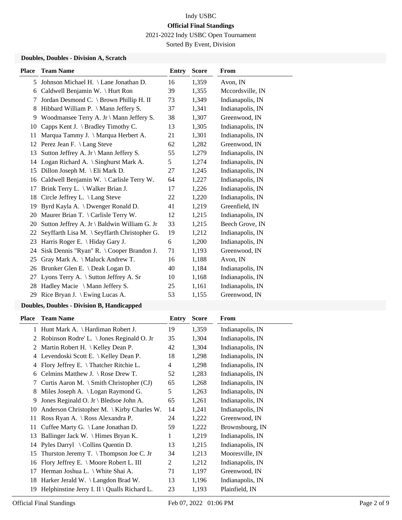2021-2022 Indy USBC Open Tournament

Sorted By Event, Division

## **Doubles, Doubles - Division A, Scratch**

| <b>Place</b> | <b>Team Name</b>                             | Entry | <b>Score</b> | From             |
|--------------|----------------------------------------------|-------|--------------|------------------|
| 5            | Johnson Michael H. \ Lane Jonathan D.        | 16    | 1,359        | Avon, IN         |
| 6            | Caldwell Benjamin W. \ Hurt Ron              | 39    | 1,355        | Mccordsville, IN |
| 7            | Jordan Desmond C. \ Brown Phillip H. II      | 73    | 1,349        | Indianapolis, IN |
| 8            | Hibbard William P. \ Mann Jeffery S.         | 37    | 1,341        | Indianapolis, IN |
| 9            | Woodmansee Terry A. Jr \ Mann Jeffery S.     | 38    | 1,307        | Greenwood, IN    |
| 10           | Capps Kent J. $\$ Bradley Timothy C.         | 13    | 1,305        | Indianapolis, IN |
| 11           | Marqua Tammy J. \ Marqua Herbert A.          | 21    | 1,301        | Indianapolis, IN |
| 12           | Perez Jean F. \ Lang Steve                   | 62    | 1,282        | Greenwood, IN    |
| 13           | Sutton Jeffrey A. Jr \ Mann Jeffery S.       | 55    | 1,279        | Indianapolis, IN |
| 14           | Logan Richard A. \ Singhurst Mark A.         | 5     | 1,274        | Indianapolis, IN |
| 15           | Dillon Joseph M. \ Eli Mark D.               | 27    | 1,245        | Indianapolis, IN |
| 16           | Caldwell Benjamin W. \Carlisle Terry W.      | 64    | 1,227        | Indianapolis, IN |
| 17           | Brink Terry L. \ Walker Brian J.             | 17    | 1,226        | Indianapolis, IN |
| 18           | Circle Jeffrey L. \ Lang Steve               | 22    | 1,220        | Indianapolis, IN |
| 19           | Byrd Kayla A. \ Dwenger Ronald D.            | 41    | 1,219        | Greenfield, IN   |
| 20           | Maurer Brian T. \ Carlisle Terry W.          | 12    | 1,215        | Indianapolis, IN |
| 20           | Sutton Jeffrey A. Jr \ Baldwin William G. Jr | 33    | 1,215        | Beech Grove, IN  |
| 22           | Seyffarth Lisa M. \ Seyffarth Christopher G. | 19    | 1,212        | Indianapolis, IN |
| 23           | Harris Roger E. \ Hiday Gary J.              | 6     | 1,200        | Indianapolis, IN |
| 24           | Sisk Dennis "Ryan" R. \ Cooper Brandon J.    | 71    | 1,193        | Greenwood, IN    |
| 25           | Gray Mark A. \ Maluck Andrew T.              | 16    | 1,188        | Avon, IN         |
| 26           | Brunker Glen E. \ Deak Logan D.              | 40    | 1,184        | Indianapolis, IN |
| 27           | Lyons Terry A. \ Sutton Jeffrey A. Sr        | 10    | 1,168        | Indianapolis, IN |
| 28           | Hadley Macie \ Mann Jeffery S.               | 25    | 1,161        | Indianapolis, IN |
| 29           | Rice Bryan J. \ Ewing Lucas A.               | 53    | 1,155        | Greenwood, IN    |
|              |                                              |       |              |                  |

## **Doubles, Doubles - Division B, Handicapped**

| Place | <b>Team Name</b>                                            | Entry | <b>Score</b> | From             |
|-------|-------------------------------------------------------------|-------|--------------|------------------|
|       | 1 Hunt Mark A. \ Hardiman Robert J.                         | 19    | 1,359        | Indianapolis, IN |
| 2     | Robinson Rodre' L. \ Jones Reginald O. Jr                   | 35    | 1,304        | Indianapolis, IN |
| 2     | Martin Robert H. $\setminus$ Kelley Dean P.                 | 42    | 1,304        | Indianapolis, IN |
| 4     | Levendoski Scott E. \ Kelley Dean P.                        | 18    | 1,298        | Indianapolis, IN |
| 4     | Flory Jeffrey E. \Thatcher Ritchie L.                       | 4     | 1,298        | Indianapolis, IN |
| 6     | Celmins Matthew J. $\operatorname{\backslash}$ Rose Drew T. | 52    | 1,283        | Indianapolis, IN |
| 7     | Curtis Aaron M. \ Smith Christopher (CJ)                    | 65    | 1,268        | Indianapolis, IN |
| 8     | Miles Joseph A. $\logan$ Raymond G.                         | 5     | 1,263        | Indianapolis, IN |
| 9     | Jones Reginald O. Jr \ Bledsoe John A.                      | 65    | 1,261        | Indianapolis, IN |
| 10    | Anderson Christopher M. \ Kirby Charles W.                  | 14    | 1,241        | Indianapolis, IN |
| 11    | Ross Ryan A. \ Ross Alexandra P.                            | 24    | 1,222        | Greenwood, IN    |
| 11    | Cuffee Marty G. $\Lambda$ Lane Jonathan D.                  | 59    | 1,222        | Brownsbourg, IN  |
| 13    | Ballinger Jack W. \ Himes Bryan K.                          | 1     | 1,219        | Indianapolis, IN |
| 14    | Pyles Darryl $\setminus$ Collins Quentin D.                 | 13    | 1,215        | Indianapolis, IN |
| 15    | Thurston Jeremy T. $\{Thompson\ Joe\ C. Jr$                 | 34    | 1,213        | Mooresville, IN  |
| 16    | Flory Jeffrey E. \ Moore Robert L. III                      | 2     | 1,212        | Indianapolis, IN |
| 17    | Herman Joshua L. \ White Shai A.                            | 71    | 1,197        | Greenwood, IN    |
| 18    | Harker Jerald W. $\Lambda$ Langdon Brad W.                  | 13    | 1,196        | Indianapolis, IN |
| 19    | Helphinstine Jerry I. II \ Qualls Richard L.                | 23    | 1,193        | Plainfield, IN   |

a.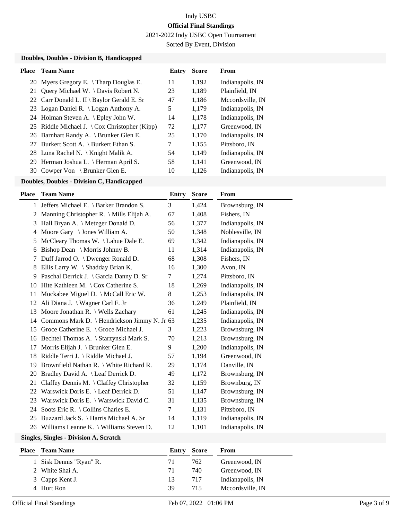2021-2022 Indy USBC Open Tournament

Sorted By Event, Division

## **Doubles, Doubles - Division B, Handicapped**

| <b>Place</b> Team Name                                                  | Entry | <b>Score</b> | From             |
|-------------------------------------------------------------------------|-------|--------------|------------------|
| 20 Myers Gregory E. \Tharp Douglas E.                                   | 11    | 1,192        | Indianapolis, IN |
| 21 Query Michael W. \ Davis Robert N.                                   | 23    | 1,189        | Plainfield, IN   |
| 22 Carr Donald L. II \ Baylor Gerald E. Sr                              | 47    | 1,186        | Mccordsville. IN |
| 23 Logan Daniel R. \ Logan Anthony A.                                   | 5     | 1,179        | Indianapolis, IN |
| 24 Holman Steven A. \ Epley John W.                                     | 14    | 1,178        | Indianapolis, IN |
| 25 Riddle Michael J. $\operatorname{\backslash}$ Cox Christopher (Kipp) | 72    | 1,177        | Greenwood. IN    |
| 26 Barnhart Randy A. \ Brunker Glen E.                                  | 25    | 1,170        | Indianapolis, IN |
| 27 Burkert Scott A. \ Burkert Ethan S.                                  | 7     | 1,155        | Pittsboro, IN    |
| 28 Luna Rachel N. \ Knight Malik A.                                     | 54    | 1,149        | Indianapolis, IN |
| 29 Herman Joshua L. \ Herman April S.                                   | 58    | 1,141        | Greenwood, IN    |
| 30 Cowper Von \ Brunker Glen E.                                         | 10    | 1.126        | Indianapolis, IN |

### **Doubles, Doubles - Division C, Handicapped**

| Place | <b>Team Name</b>                                  | <b>Entry</b> | <b>Score</b> | From             |
|-------|---------------------------------------------------|--------------|--------------|------------------|
| 1     | Jeffers Michael E. \ Barker Brandon S.            | 3            | 1,424        | Brownsburg, IN   |
| 2     | Manning Christopher R. \ Mills Elijah A.          | 67           | 1,408        | Fishers, IN      |
| 3     | Hall Bryan A. \ Metzger Donald D.                 | 56           | 1,377        | Indianapolis, IN |
| 4     | Moore Gary \ Jones William A.                     | 50           | 1,348        | Noblesville, IN  |
| 5     | McCleary Thomas W. \ Lahue Dale E.                | 69           | 1,342        | Indianapolis, IN |
| 6     | Bishop Dean \ Morris Johnny B.                    | 11           | 1,314        | Indianapolis, IN |
| 7     | Duff Jarrod O. \ Dwenger Ronald D.                | 68           | 1,308        | Fishers, IN      |
| 8     | Ellis Larry W. \ Shadday Brian K.                 | 16           | 1,300        | Avon, IN         |
| 9     | Paschal Derrick J. \ Garcia Danny D. Sr           | 7            | 1,274        | Pittsboro, IN    |
| 10    | Hite Kathleen M. \Cox Catherine S.                | 18           | 1,269        | Indianapolis, IN |
| 11    | Mockabee Miguel D. \ McCall Eric W.               | 8            | 1,253        | Indianapolis, IN |
| 12    | Ali Diana J. \ Wagner Carl F. Jr                  | 36           | 1,249        | Plainfield, IN   |
| 13    | Moore Jonathan R. \ Wells Zachary                 | 61           | 1,245        | Indianapolis, IN |
| 14    | Commons Mark D. \ Hendrickson Jimmy N. Jr 63      |              | 1,235        | Indianapolis, IN |
| 15    | Groce Catherine E. $\setminus$ Groce Michael J.   | 3            | 1,223        | Brownsburg, IN   |
|       | 16 Bechtel Thomas A. \ Starzynski Mark S.         | 70           | 1,213        | Brownsburg, IN   |
| 17    | Morris Elijah J. \ Brunker Glen E.                | 9            | 1,200        | Indianapolis, IN |
| 18    | Riddle Terri J. \ Riddle Michael J.               | 57           | 1,194        | Greenwood, IN    |
| 19    | Brownfield Nathan R. \ White Richard R.           | 29           | 1,174        | Danville, IN     |
| 20    | Bradley David A. \ Leaf Derrick D.                | 49           | 1,172        | Brownsburg, IN   |
| 21    | Claffey Dennis M. $\setminus$ Claffey Christopher | 32           | 1,159        | Brownburg, IN    |
| 22    | Warswick Doris E. \ Leaf Derrick D.               | 51           | 1,147        | Brownsburg, IN   |
| 23    | Warswick Doris E. \ Warswick David C.             | 31           | 1,135        | Brownsburg, IN   |
| 24    | Soots Eric R. \ Collins Charles E.                | 7            | 1,131        | Pittsboro, IN    |
| 25    | Buzzard Jack S. \ Harris Michael A. Sr            | 14           | 1,119        | Indianapolis, IN |
| 26    | Williams Leanne K. \ Williams Steven D.           | 12           | 1,101        | Indianapolis, IN |

### **Singles, Singles - Division A, Scratch**

| Place | Team Name               | Entry | Score | From             |
|-------|-------------------------|-------|-------|------------------|
|       | 1 Sisk Dennis "Ryan" R. | 71    | 762   | Greenwood, IN    |
|       | 2 White Shai A.         | 71    | 740   | Greenwood, IN    |
|       | 3 Capps Kent J.         | 13    | 717   | Indianapolis, IN |
|       | 4 Hurt Ron              | 39    | 715   | Mccordsville, IN |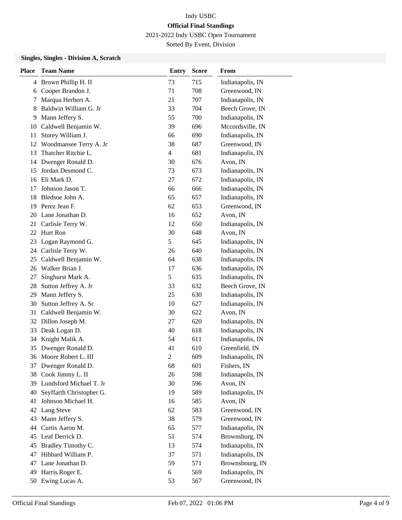2021-2022 Indy USBC Open Tournament

Sorted By Event, Division

## **Singles, Singles - Division A, Scratch**

| <b>Place</b> | <b>Team Name</b>         | <b>Entry</b>             | <b>Score</b> | From             |
|--------------|--------------------------|--------------------------|--------------|------------------|
| 4            | Brown Phillip H. II      | 73                       | 715          | Indianapolis, IN |
| 6            | Cooper Brandon J.        | 71                       | 708          | Greenwood, IN    |
| 7            | Marqua Herbert A.        | 21                       | 707          | Indianapolis, IN |
| 8            | Baldwin William G. Jr    | 33                       | 704          | Beech Grove, IN  |
| 9            | Mann Jeffery S.          | 55                       | 700          | Indianapolis, IN |
| 10           | Caldwell Benjamin W.     | 39                       | 696          | Mccordsville, IN |
| 11           | Storey William J.        | 66                       | 690          | Indianapolis, IN |
| 12           | Woodmansee Terry A. Jr   | 38                       | 687          | Greenwood, IN    |
| 13           | Thatcher Ritchie L.      | $\overline{\mathcal{L}}$ | 681          | Indianapolis, IN |
| 14           | Dwenger Ronald D.        | 30                       | 676          | Avon, IN         |
| 15           | Jordan Desmond C.        | 73                       | 673          | Indianapolis, IN |
| 16           | Eli Mark D.              | 27                       | 672          | Indianapolis, IN |
| 17           | Johnson Jason T.         | 66                       | 666          | Indianapolis, IN |
| 18           | Bledsoe John A.          | 65                       | 657          | Indianapolis, IN |
| 19           | Perez Jean F.            | 62                       | 653          | Greenwood, IN    |
| 20           | Lane Jonathan D.         | 16                       | 652          | Avon, IN         |
| 21           | Carlisle Terry W.        | 12                       | 650          | Indianapolis, IN |
| 22           | Hurt Ron                 | 30                       | 648          | Avon, IN         |
| 23           | Logan Raymond G.         | 5                        | 645          | Indianapolis, IN |
| 24           | Carlisle Terry W.        | 26                       | 640          | Indianapolis, IN |
| 25           | Caldwell Benjamin W.     | 64                       | 638          | Indianapolis, IN |
| 26           | Walker Brian J.          | 17                       | 636          | Indianapolis, IN |
| 27           | Singhurst Mark A.        | 5                        | 635          | Indianapolis, IN |
| 28           | Sutton Jeffrey A. Jr     | 33                       | 632          | Beech Grove, IN  |
| 29           | Mann Jeffery S.          | 25                       | 630          | Indianapolis, IN |
| 30           | Sutton Jeffrey A. Sr     | 10                       | 627          | Indianapolis, IN |
| 31           | Caldwell Benjamin W.     | 30                       | 622          | Avon, IN         |
| 32           | Dillon Joseph M.         | 27                       | 620          | Indianapolis, IN |
| 33           | Deak Logan D.            | 40                       | 618          | Indianapolis, IN |
| 34           | Knight Malik A.          | 54                       | 611          | Indianapolis, IN |
| 35           | Dwenger Ronald D.        | 41                       | 610          | Greenfield, IN   |
|              | 36 Moore Robert L. III   | $\overline{c}$           | 609          | Indianapolis, IN |
| 37           | Dwenger Ronald D.        | 68                       | 601          | Fishers, IN      |
| 38           | Cook Jimmy L. II         | 26                       | 598          | Indianapolis, IN |
| 39           | Lundsford Michael T. Jr  | 30                       | 596          | Avon, IN         |
| 40           | Seyffarth Christopher G. | 19                       | 589          | Indianapolis, IN |
| 41           | Johnson Michael H.       | 16                       | 585          | Avon, IN         |
| 42           | Lang Steve               | 62                       | 583          | Greenwood, IN    |
| 43           | Mann Jeffery S.          | 38                       | 579          | Greenwood, IN    |
| 44           | Curtis Aaron M.          | 65                       | 577          | Indianapolis, IN |
| 45           | Leaf Derrick D.          | 51                       | 574          | Brownsburg, IN   |
| 45           | Bradley Timothy C.       | 13                       | 574          | Indianapolis, IN |
| 47           | Hibbard William P.       | 37                       | 571          | Indianapolis, IN |
| 47           | Lane Jonathan D.         | 59                       | 571          | Brownsbourg, IN  |
| 49           | Harris Roger E.          | 6                        | 569          | Indianapolis, IN |
| 50           | Ewing Lucas A.           | 53                       | 567          | Greenwood, IN    |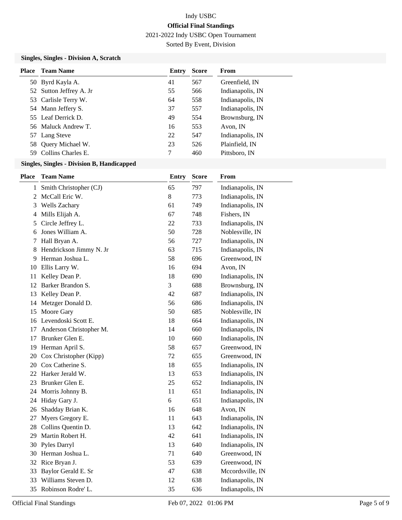2021-2022 Indy USBC Open Tournament

Sorted By Event, Division

## **Singles, Singles - Division A, Scratch**

| Place | Team Name               | Entry | <b>Score</b> | From             |
|-------|-------------------------|-------|--------------|------------------|
|       | 50 Byrd Kayla A.        | 41    | 567          | Greenfield, IN   |
|       | 52 Sutton Jeffrey A. Jr | 55    | 566          | Indianapolis, IN |
|       | 53 Carlisle Terry W.    | 64    | 558          | Indianapolis, IN |
|       | 54 Mann Jeffery S.      | 37    | 557          | Indianapolis, IN |
|       | 55 Leaf Derrick D.      | 49    | 554          | Brownsburg, IN   |
|       | 56 Maluck Andrew T.     | 16    | 553          | Avon, IN         |
|       | 57 Lang Steve           | 22    | 547          | Indianapolis, IN |
|       | 58 Query Michael W.     | 23    | 526          | Plainfield, IN   |
|       | 59 Collins Charles E.   | 7     | 460          | Pittsboro, IN    |

### **Singles, Singles - Division B, Handicapped**

| Place | <b>Team Name</b>        | <b>Entry</b> | <b>Score</b> | From             |
|-------|-------------------------|--------------|--------------|------------------|
| 1     | Smith Christopher (CJ)  | 65           | 797          | Indianapolis, IN |
| 2     | McCall Eric W.          | 8            | 773          | Indianapolis, IN |
| 3     | Wells Zachary           | 61           | 749          | Indianapolis, IN |
| 4     | Mills Elijah A.         | 67           | 748          | Fishers, IN      |
| 5     | Circle Jeffrey L.       | 22           | 733          | Indianapolis, IN |
| 6     | Jones William A.        | 50           | 728          | Noblesville, IN  |
| 7     | Hall Bryan A.           | 56           | 727          | Indianapolis, IN |
| 8     | Hendrickson Jimmy N. Jr | 63           | 715          | Indianapolis, IN |
| 9     | Herman Joshua L.        | 58           | 696          | Greenwood, IN    |
| 10    | Ellis Larry W.          | 16           | 694          | Avon, IN         |
| 11    | Kelley Dean P.          | 18           | 690          | Indianapolis, IN |
| 12    | Barker Brandon S.       | 3            | 688          | Brownsburg, IN   |
| 13    | Kelley Dean P.          | 42           | 687          | Indianapolis, IN |
| 14    | Metzger Donald D.       | 56           | 686          | Indianapolis, IN |
| 15    | Moore Gary              | 50           | 685          | Noblesville, IN  |
| 16    | Levendoski Scott E.     | 18           | 664          | Indianapolis, IN |
| 17    | Anderson Christopher M. | 14           | 660          | Indianapolis, IN |
| 17    | Brunker Glen E.         | 10           | 660          | Indianapolis, IN |
| 19    | Herman April S.         | 58           | 657          | Greenwood, IN    |
| 20    | Cox Christopher (Kipp)  | 72           | 655          | Greenwood, IN    |
| 20    | Cox Catherine S.        | 18           | 655          | Indianapolis, IN |
| 22    | Harker Jerald W.        | 13           | 653          | Indianapolis, IN |
| 23    | Brunker Glen E.         | 25           | 652          | Indianapolis, IN |
| 24    | Morris Johnny B.        | 11           | 651          | Indianapolis, IN |
| 24    | Hiday Gary J.           | 6            | 651          | Indianapolis, IN |
| 26    | Shadday Brian K.        | 16           | 648          | Avon, IN         |
| 27    | Myers Gregory E.        | 11           | 643          | Indianapolis, IN |
| 28    | Collins Quentin D.      | 13           | 642          | Indianapolis, IN |
| 29    | Martin Robert H.        | 42           | 641          | Indianapolis, IN |
| 30    | Pyles Darryl            | 13           | 640          | Indianapolis, IN |
| 30    | Herman Joshua L.        | 71           | 640          | Greenwood, IN    |
| 32    | Rice Bryan J.           | 53           | 639          | Greenwood, IN    |
| 33    | Baylor Gerald E. Sr     | 47           | 638          | Mccordsville, IN |
| 33    | Williams Steven D.      | 12           | 638          | Indianapolis, IN |
| 35    | Robinson Rodre' L.      | 35           | 636          | Indianapolis, IN |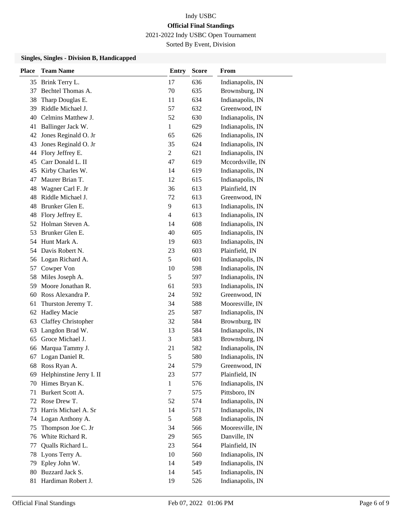2021-2022 Indy USBC Open Tournament

Sorted By Event, Division

### **Singles, Singles - Division B, Handicapped**

| <b>Place</b> | <b>Team Name</b>         | <b>Entry</b>     | <b>Score</b> | From             |
|--------------|--------------------------|------------------|--------------|------------------|
| 35           | Brink Terry L.           | 17               | 636          | Indianapolis, IN |
| 37           | Bechtel Thomas A.        | 70               | 635          | Brownsburg, IN   |
| 38           | Tharp Douglas E.         | 11               | 634          | Indianapolis, IN |
| 39           | Riddle Michael J.        | 57               | 632          | Greenwood, IN    |
| 40           | Celmins Matthew J.       | 52               | 630          | Indianapolis, IN |
| 41           | Ballinger Jack W.        | 1                | 629          | Indianapolis, IN |
| 42           | Jones Reginald O. Jr     | 65               | 626          | Indianapolis, IN |
| 43           | Jones Reginald O. Jr     | 35               | 624          | Indianapolis, IN |
| 44           | Flory Jeffrey E.         | $\boldsymbol{2}$ | 621          | Indianapolis, IN |
| 45           | Carr Donald L. II        | 47               | 619          | Mccordsville, IN |
| 45           | Kirby Charles W.         | 14               | 619          | Indianapolis, IN |
| 47           | Maurer Brian T.          | 12               | 615          | Indianapolis, IN |
| 48           | Wagner Carl F. Jr        | 36               | 613          | Plainfield, IN   |
| 48           | Riddle Michael J.        | 72               | 613          | Greenwood, IN    |
| 48           | Brunker Glen E.          | $\overline{9}$   | 613          | Indianapolis, IN |
| 48           | Flory Jeffrey E.         | $\overline{4}$   | 613          | Indianapolis, IN |
| 52           | Holman Steven A.         | 14               | 608          | Indianapolis, IN |
| 53           | Brunker Glen E.          | 40               | 605          | Indianapolis, IN |
| 54           | Hunt Mark A.             | 19               | 603          | Indianapolis, IN |
| 54           | Davis Robert N.          | 23               | 603          | Plainfield, IN   |
| 56           | Logan Richard A.         | 5                | 601          | Indianapolis, IN |
| 57           | Cowper Von               | 10               | 598          | Indianapolis, IN |
| 58           | Miles Joseph A.          | 5                | 597          | Indianapolis, IN |
| 59           | Moore Jonathan R.        | 61               | 593          | Indianapolis, IN |
| 60           | Ross Alexandra P.        | 24               | 592          | Greenwood, IN    |
| 61           | Thurston Jeremy T.       | 34               | 588          | Mooresville, IN  |
| 62           | <b>Hadley Macie</b>      | 25               | 587          | Indianapolis, IN |
| 63           | Claffey Christopher      | 32               | 584          | Brownburg, IN    |
| 63           | Langdon Brad W.          | 13               | 584          | Indianapolis, IN |
| 65           | Groce Michael J.         | 3                | 583          | Brownsburg, IN   |
| 66           | Marqua Tammy J.          | 21               | 582          | Indianapolis, IN |
| 67           | Logan Daniel R.          | 5                | 580          | Indianapolis, IN |
| 68           | Ross Ryan A.             | 24               | 579          | Greenwood, IN    |
| 69           | Helphinstine Jerry I. II | 23               | 577          | Plainfield, IN   |
| 70           | Himes Bryan K.           | 1                | 576          | Indianapolis, IN |
| 71           | Burkert Scott A.         | $\tau$           | 575          | Pittsboro, IN    |
| 72           | Rose Drew T.             | 52               | 574          | Indianapolis, IN |
| 73           | Harris Michael A. Sr     | 14               | 571          | Indianapolis, IN |
| 74           | Logan Anthony A.         | 5                | 568          | Indianapolis, IN |
| 75           | Thompson Joe C. Jr       | 34               | 566          | Mooresville, IN  |
| 76           | White Richard R.         | 29               | 565          | Danville, IN     |
| 77           | Qualls Richard L.        | 23               | 564          | Plainfield, IN   |
| 78           | Lyons Terry A.           | 10               | 560          | Indianapolis, IN |
| 79           | Epley John W.            | 14               | 549          | Indianapolis, IN |
| 80           | Buzzard Jack S.          | 14               | 545          | Indianapolis, IN |
| 81           | Hardiman Robert J.       | 19               | 526          | Indianapolis, IN |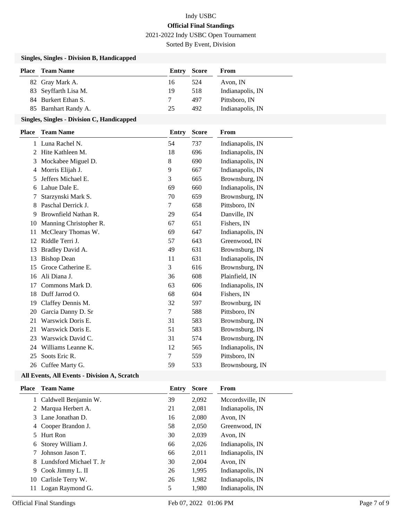2021-2022 Indy USBC Open Tournament

Sorted By Event, Division

## **Singles, Singles - Division B, Handicapped**

| <b>Place</b> | <b>Team Name</b>     |    | <b>Entry Score</b> | From             |
|--------------|----------------------|----|--------------------|------------------|
|              | 82 Gray Mark A.      | 16 | 524                | Avon. IN         |
|              | 83 Seyffarth Lisa M. | 19 | 518                | Indianapolis, IN |
|              | 84 Burkert Ethan S.  |    | 497                | Pittsboro, IN    |
|              | 85 Barnhart Randy A. | 25 | 492                | Indianapolis, IN |

## **Singles, Singles - Division C, Handicapped**

| <b>Place</b> | <b>Team Name</b>       | <b>Entry</b> | <b>Score</b> | From             |
|--------------|------------------------|--------------|--------------|------------------|
| 1            | Luna Rachel N.         | 54           | 737          | Indianapolis, IN |
| 2            | Hite Kathleen M.       | 18           | 696          | Indianapolis, IN |
| 3            | Mockabee Miguel D.     | 8            | 690          | Indianapolis, IN |
| 4            | Morris Elijah J.       | 9            | 667          | Indianapolis, IN |
| 5            | Jeffers Michael E.     | 3            | 665          | Brownsburg, IN   |
| 6            | Lahue Dale E.          | 69           | 660          | Indianapolis, IN |
| 7            | Starzynski Mark S.     | 70           | 659          | Brownsburg, IN   |
| 8            | Paschal Derrick J.     | 7            | 658          | Pittsboro, IN    |
| 9            | Brownfield Nathan R.   | 29           | 654          | Danville, IN     |
| 10           | Manning Christopher R. | 67           | 651          | Fishers, IN      |
| 11           | McCleary Thomas W.     | 69           | 647          | Indianapolis, IN |
| 12           | Riddle Terri J.        | 57           | 643          | Greenwood, IN    |
| 13           | Bradley David A.       | 49           | 631          | Brownsburg, IN   |
| 13           | <b>Bishop Dean</b>     | 11           | 631          | Indianapolis, IN |
| 15           | Groce Catherine E.     | 3            | 616          | Brownsburg, IN   |
| 16           | Ali Diana J.           | 36           | 608          | Plainfield, IN   |
| 17           | Commons Mark D.        | 63           | 606          | Indianapolis, IN |
| 18           | Duff Jarrod O.         | 68           | 604          | Fishers, IN      |
| 19           | Claffey Dennis M.      | 32           | 597          | Brownburg, IN    |
| 20           | Garcia Danny D. Sr     | 7            | 588          | Pittsboro, IN    |
| 21           | Warswick Doris E.      | 31           | 583          | Brownsburg, IN   |
| 21           | Warswick Doris E.      | 51           | 583          | Brownsburg, IN   |
| 23           | Warswick David C.      | 31           | 574          | Brownsburg, IN   |
| 24           | Williams Leanne K.     | 12           | 565          | Indianapolis, IN |
| 25           | Soots Eric R.          | 7            | 559          | Pittsboro, IN    |
| 26           | Cuffee Marty G.        | 59           | 533          | Brownsbourg, IN  |

## **All Events, All Events - Division A, Scratch**

| Place | <b>Team Name</b>        | Entry | <b>Score</b> | <b>From</b>      |
|-------|-------------------------|-------|--------------|------------------|
|       | 1 Caldwell Benjamin W.  | 39    | 2,092        | Mccordsville, IN |
| 2     | Marqua Herbert A.       | 21    | 2,081        | Indianapolis, IN |
|       | 3 Lane Jonathan D.      | 16    | 2,080        | Avon, IN         |
| 4     | Cooper Brandon J.       | 58    | 2,050        | Greenwood, IN    |
| 5.    | Hurt Ron                | 30    | 2,039        | Avon, IN         |
| 6     | Storey William J.       | 66    | 2,026        | Indianapolis, IN |
|       | Johnson Jason T.        | 66    | 2,011        | Indianapolis, IN |
| 8.    | Lundsford Michael T. Jr | 30    | 2,004        | Avon, IN         |
| 9     | Cook Jimmy L. II        | 26    | 1,995        | Indianapolis, IN |
| 10    | Carlisle Terry W.       | 26    | 1,982        | Indianapolis, IN |
| 11    | Logan Raymond G.        | 5     | 1,980        | Indianapolis, IN |
|       |                         |       |              |                  |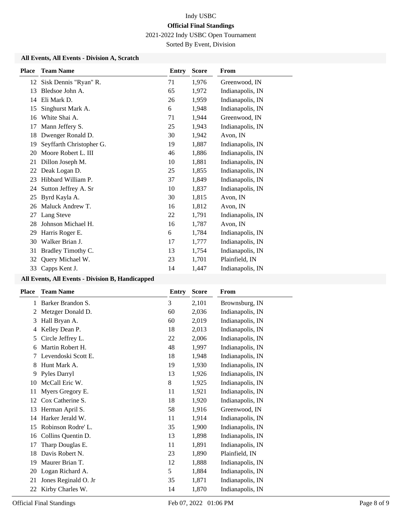2021-2022 Indy USBC Open Tournament

Sorted By Event, Division

## **All Events, All Events - Division A, Scratch**

| <b>Place</b> | <b>Team Name</b>         | Entry | <b>Score</b> | From             |
|--------------|--------------------------|-------|--------------|------------------|
| 12           | Sisk Dennis "Ryan" R.    | 71    | 1,976        | Greenwood, IN    |
| 13           | Bledsoe John A.          | 65    | 1,972        | Indianapolis, IN |
| 14           | Eli Mark D.              | 26    | 1,959        | Indianapolis, IN |
| 15           | Singhurst Mark A.        | 6     | 1,948        | Indianapolis, IN |
| 16           | White Shai A.            | 71    | 1,944        | Greenwood, IN    |
| 17           | Mann Jeffery S.          | 25    | 1,943        | Indianapolis, IN |
| 18           | Dwenger Ronald D.        | 30    | 1,942        | Avon, IN         |
| 19           | Seyffarth Christopher G. | 19    | 1,887        | Indianapolis, IN |
| 20           | Moore Robert L. III      | 46    | 1,886        | Indianapolis, IN |
| 21           | Dillon Joseph M.         | 10    | 1,881        | Indianapolis, IN |
| 22           | Deak Logan D.            | 25    | 1,855        | Indianapolis, IN |
| 23           | Hibbard William P.       | 37    | 1,849        | Indianapolis, IN |
| 24           | Sutton Jeffrey A. Sr     | 10    | 1,837        | Indianapolis, IN |
| 25           | Byrd Kayla A.            | 30    | 1,815        | Avon, IN         |
| 26           | Maluck Andrew T.         | 16    | 1,812        | Avon, IN         |
| 27           | Lang Steve               | 22    | 1,791        | Indianapolis, IN |
| 28           | Johnson Michael H.       | 16    | 1,787        | Avon, IN         |
| 29           | Harris Roger E.          | 6     | 1,784        | Indianapolis, IN |
| 30           | Walker Brian J.          | 17    | 1,777        | Indianapolis, IN |
| 31           | Bradley Timothy C.       | 13    | 1,754        | Indianapolis, IN |
| 32           | Query Michael W.         | 23    | 1,701        | Plainfield, IN   |
| 33           | Capps Kent J.            | 14    | 1,447        | Indianapolis, IN |

### **All Events, All Events - Division B, Handicapped**

| <b>Place</b> | <b>Team Name</b>     | Entry | <b>Score</b> | From             |
|--------------|----------------------|-------|--------------|------------------|
| 1            | Barker Brandon S.    | 3     | 2,101        | Brownsburg, IN   |
| 2            | Metzger Donald D.    | 60    | 2,036        | Indianapolis, IN |
| 3            | Hall Bryan A.        | 60    | 2,019        | Indianapolis, IN |
| 4            | Kelley Dean P.       | 18    | 2,013        | Indianapolis, IN |
| 5            | Circle Jeffrey L.    | 22    | 2,006        | Indianapolis, IN |
| 6            | Martin Robert H.     | 48    | 1,997        | Indianapolis, IN |
| 7            | Levendoski Scott E.  | 18    | 1,948        | Indianapolis, IN |
| 8            | Hunt Mark A.         | 19    | 1,930        | Indianapolis, IN |
| 9            | Pyles Darryl         | 13    | 1,926        | Indianapolis, IN |
| 10           | McCall Eric W.       | 8     | 1,925        | Indianapolis, IN |
| 11           | Myers Gregory E.     | 11    | 1,921        | Indianapolis, IN |
| 12           | Cox Catherine S.     | 18    | 1,920        | Indianapolis, IN |
| 13           | Herman April S.      | 58    | 1,916        | Greenwood, IN    |
| 14           | Harker Jerald W.     | 11    | 1,914        | Indianapolis, IN |
| 15           | Robinson Rodre' L.   | 35    | 1,900        | Indianapolis, IN |
| 16           | Collins Quentin D.   | 13    | 1,898        | Indianapolis, IN |
| 17           | Tharp Douglas E.     | 11    | 1,891        | Indianapolis, IN |
| 18           | Davis Robert N.      | 23    | 1,890        | Plainfield, IN   |
| 19           | Maurer Brian T.      | 12    | 1,888        | Indianapolis, IN |
| 20           | Logan Richard A.     | 5     | 1,884        | Indianapolis, IN |
| 21           | Jones Reginald O. Jr | 35    | 1,871        | Indianapolis, IN |
| 22           | Kirby Charles W.     | 14    | 1,870        | Indianapolis, IN |
|              |                      |       |              |                  |